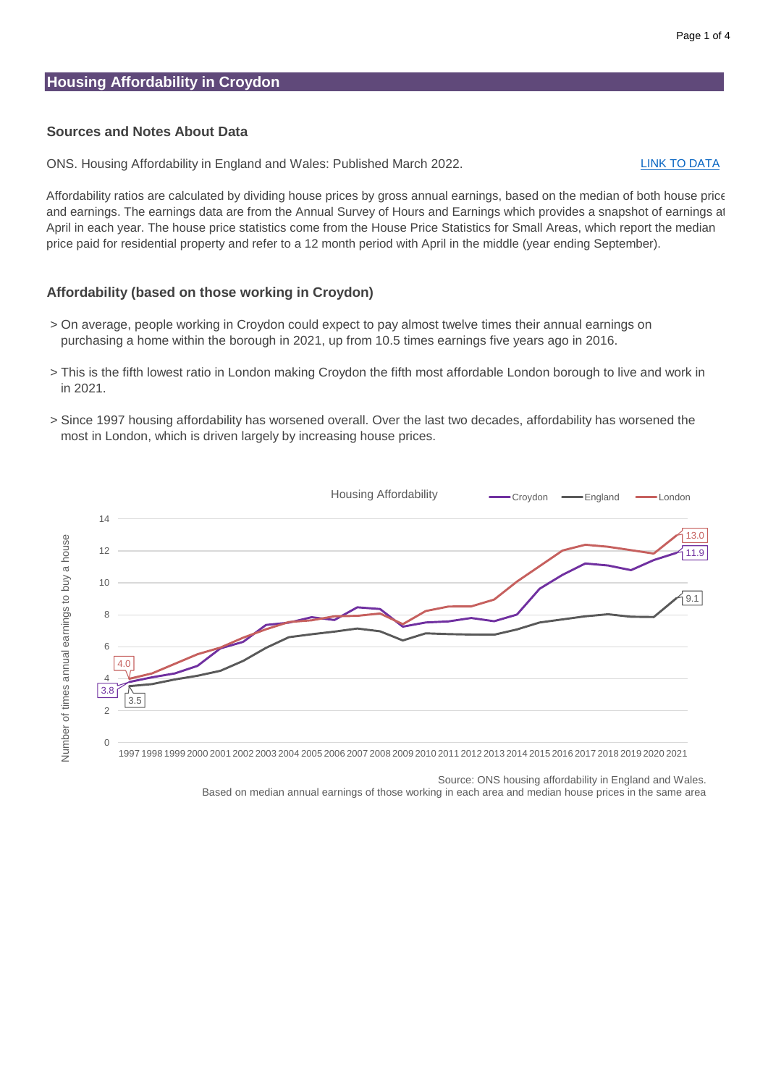### **Sources and Notes About Data**

ONS. Housing Affordability in England and Wales: Published March 2022. Lack Later Construction Contra

Affordability ratios are calculated by dividing house prices by gross annual earnings, based on the median of both house price and earnings. The earnings data are from the Annual Survey of Hours and Earnings which provides a snapshot of earnings at April in each year. The house price statistics come from the House Price Statistics for Small Areas, which report the median price paid for residential property and refer to a 12 month period with April in the middle (year ending September).

## **Affordability (based on those working in Croydon)**

- > On average, people working in Croydon could expect to pay almost twelve times their annual earnings on purchasing a home within the borough in 2021, up from 10.5 times earnings five years ago in 2016.
- > This is the fifth lowest ratio in London making Croydon the fifth most affordable London borough to live and work in in 2021.
- > Since 1997 housing affordability has worsened overall. Over the last two decades, affordability has worsened the most in London, which is driven largely by increasing house prices.



Source: ONS housing affordability in England and Wales.

Based on median annual earnings of those working in each area and median house prices in the same area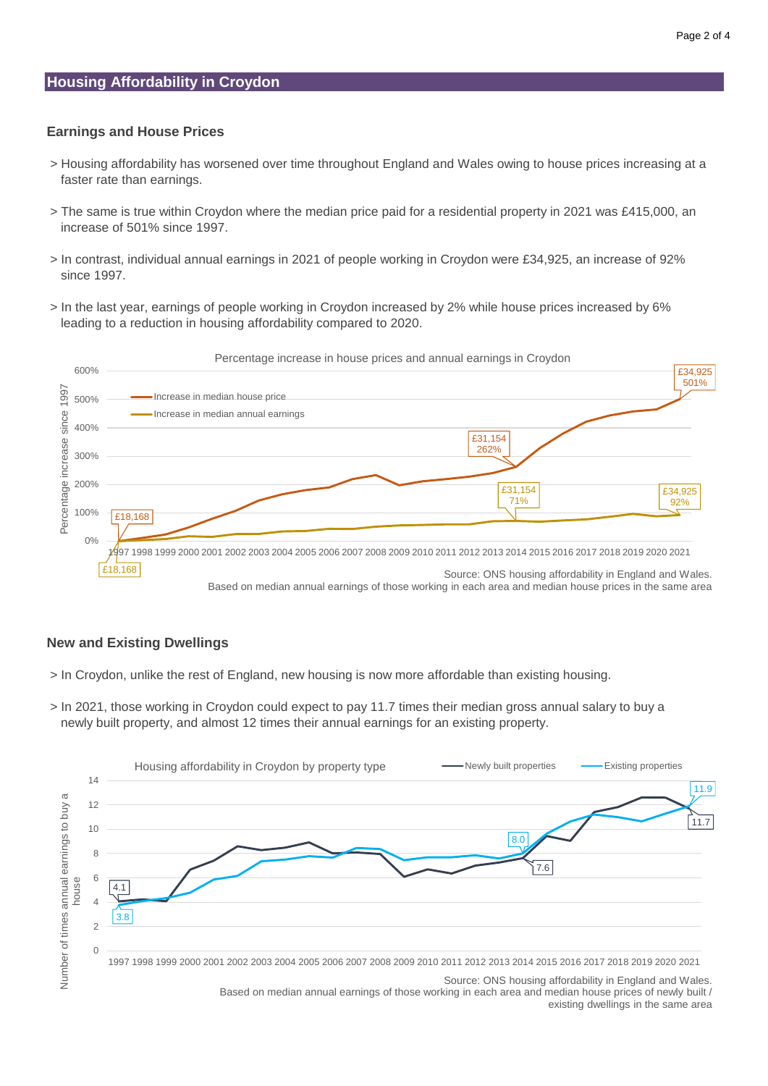#### **Earnings and House Prices**

- > Housing affordability has worsened over time throughout England and Wales owing to house prices increasing at a faster rate than earnings.
- > The same is true within Croydon where the median price paid for a residential property in 2021 was £415,000, an increase of 501% since 1997.
- > In contrast, individual annual earnings in 2021 of people working in Croydon were £34,925, an increase of 92% since 1997.
- > In the last year, earnings of people working in Croydon increased by 2% while house prices increased by 6% leading to a reduction in housing affordability compared to 2020.



### **New and Existing Dwellings**

- > In Croydon, unlike the rest of England, new housing is now more affordable than existing housing.
- > In 2021, those working in Croydon could expect to pay 11.7 times their median gross annual salary to buy a newly built property, and almost 12 times their annual earnings for an existing property.



existing dwellings in the same area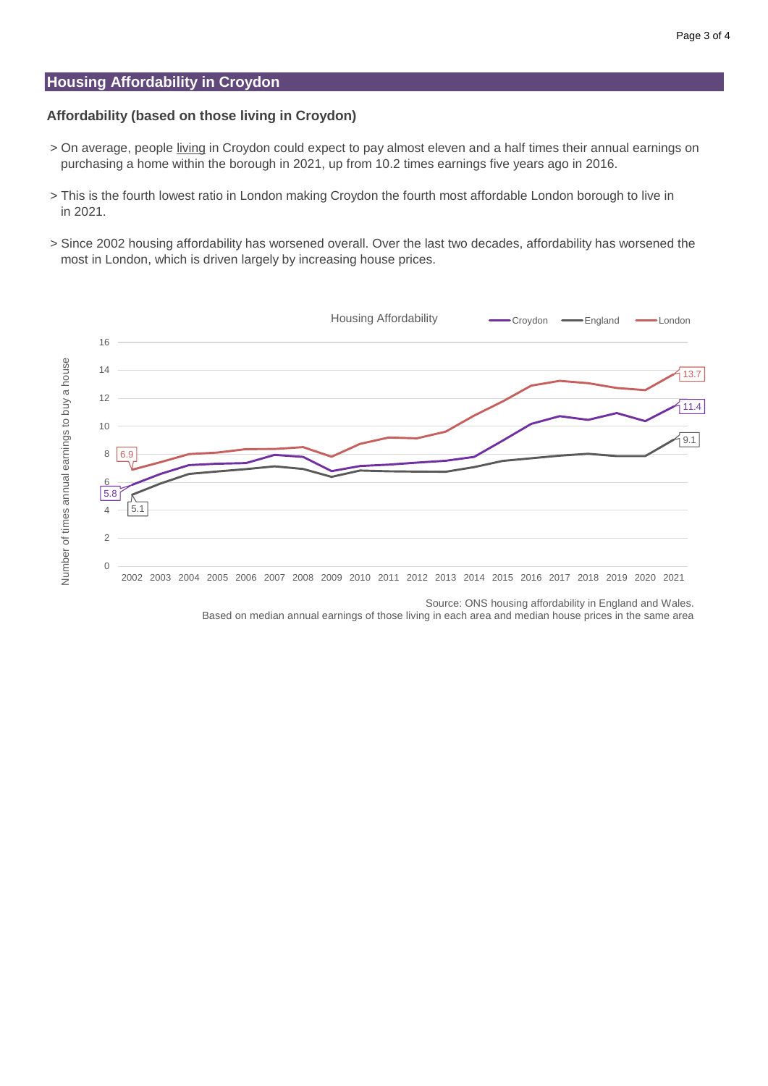#### **Affordability (based on those living in Croydon)**

- > On average, people living in Croydon could expect to pay almost eleven and a half times their annual earnings on purchasing a home within the borough in 2021, up from 10.2 times earnings five years ago in 2016.
- > This is the fourth lowest ratio in London making Croydon the fourth most affordable London borough to live in in 2021.
- > Since 2002 housing affordability has worsened overall. Over the last two decades, affordability has worsened the most in London, which is driven largely by increasing house prices.



Based on median annual earnings of those living in each area and median house prices in the same area